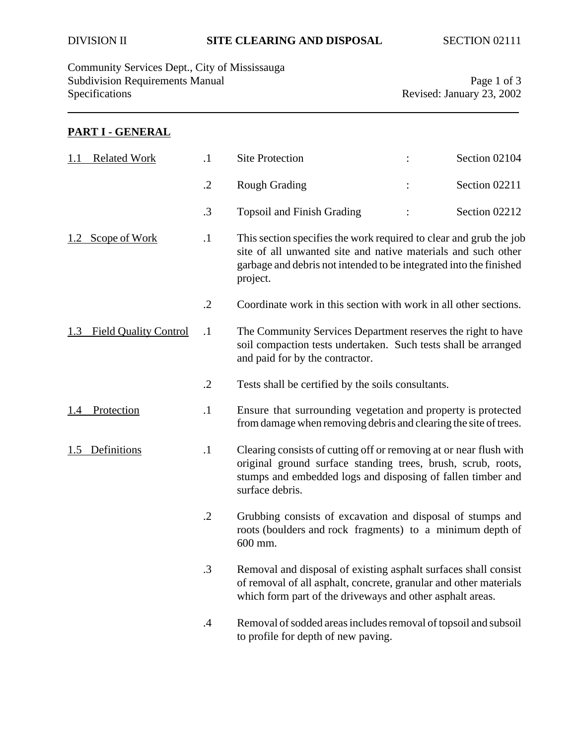Community Services Dept., City of Mississauga Subdivision Requirements Manual Page 1 of 3<br>Specifications Revised: January 23, 2002

Revised: January 23, 2002

## **PART I - GENERAL**

| <b>Related Work</b>                 | $\cdot$    | <b>Site Protection</b>                                                                                                                                                                                                | Section 02104 |
|-------------------------------------|------------|-----------------------------------------------------------------------------------------------------------------------------------------------------------------------------------------------------------------------|---------------|
|                                     | $\cdot$ .2 | <b>Rough Grading</b>                                                                                                                                                                                                  | Section 02211 |
|                                     | $\cdot$ 3  | <b>Topsoil and Finish Grading</b>                                                                                                                                                                                     | Section 02212 |
| Scope of Work<br>1.2                | $\cdot$ 1  | This section specifies the work required to clear and grub the job<br>site of all unwanted site and native materials and such other<br>garbage and debris not intended to be integrated into the finished<br>project. |               |
|                                     | $\cdot$ .2 | Coordinate work in this section with work in all other sections.                                                                                                                                                      |               |
| <b>Field Quality Control</b><br>1.3 | $\cdot$    | The Community Services Department reserves the right to have<br>soil compaction tests undertaken. Such tests shall be arranged<br>and paid for by the contractor.                                                     |               |
|                                     | $\cdot$ .2 | Tests shall be certified by the soils consultants.                                                                                                                                                                    |               |
| Protection<br>1.4                   | $\cdot$ 1  | Ensure that surrounding vegetation and property is protected<br>from damage when removing debris and clearing the site of trees.                                                                                      |               |
| Definitions<br>1.5                  | $\cdot$    | Clearing consists of cutting off or removing at or near flush with<br>original ground surface standing trees, brush, scrub, roots,<br>stumps and embedded logs and disposing of fallen timber and<br>surface debris.  |               |
|                                     | $\cdot$ .2 | Grubbing consists of excavation and disposal of stumps and<br>roots (boulders and rock fragments) to a minimum depth of<br>600 mm.                                                                                    |               |
|                                     | 3          | Removal and disposal of existing asphalt surfaces shall consist<br>of removal of all asphalt, concrete, granular and other materials<br>which form part of the driveways and other asphalt areas.                     |               |
|                                     | $\cdot$    | Removal of sodded areas includes removal of topsoil and subsoil<br>to profile for depth of new paving.                                                                                                                |               |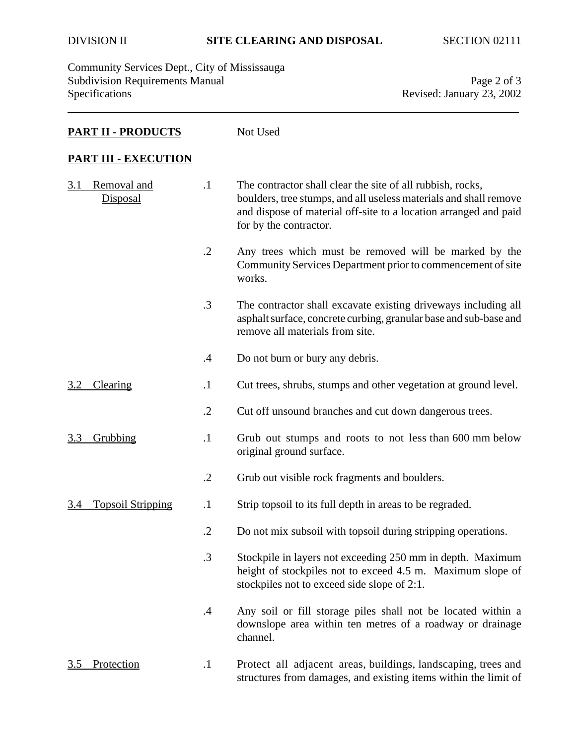Community Services Dept., City of Mississauga Subdivision Requirements Manual Page 2 of 3<br>Specifications Revised: January 23, 2002

Revised: January 23, 2002

### **PART II - PRODUCTS** Not Used

#### **PART III - EXECUTION**

| 3.1 | Removal and<br><b>Disposal</b> | $\cdot$ 1     | The contractor shall clear the site of all rubbish, rocks,<br>boulders, tree stumps, and all useless materials and shall remove<br>and dispose of material off-site to a location arranged and paid<br>for by the contractor. |
|-----|--------------------------------|---------------|-------------------------------------------------------------------------------------------------------------------------------------------------------------------------------------------------------------------------------|
|     |                                | $\cdot$ .2    | Any trees which must be removed will be marked by the<br>Community Services Department prior to commencement of site<br>works.                                                                                                |
|     |                                | $\cdot$ 3     | The contractor shall excavate existing driveways including all<br>asphalt surface, concrete curbing, granular base and sub-base and<br>remove all materials from site.                                                        |
|     |                                | $\mathcal{A}$ | Do not burn or bury any debris.                                                                                                                                                                                               |
| 3.2 | Clearing                       | $\cdot$       | Cut trees, shrubs, stumps and other vegetation at ground level.                                                                                                                                                               |
|     |                                | $\cdot$ .2    | Cut off unsound branches and cut down dangerous trees.                                                                                                                                                                        |
| 3.3 | Grubbing                       | $\cdot$ 1     | Grub out stumps and roots to not less than 600 mm below<br>original ground surface.                                                                                                                                           |
|     |                                | $\cdot$ .2    | Grub out visible rock fragments and boulders.                                                                                                                                                                                 |
| 3.4 | <b>Topsoil Stripping</b>       | $\cdot$       | Strip topsoil to its full depth in areas to be regraded.                                                                                                                                                                      |
|     |                                | $\cdot$ .2    | Do not mix subsoil with topsoil during stripping operations.                                                                                                                                                                  |
|     |                                | $\cdot$ 3     | Stockpile in layers not exceeding 250 mm in depth. Maximum<br>height of stockpiles not to exceed 4.5 m. Maximum slope of<br>stockpiles not to exceed side slope of 2:1.                                                       |
|     |                                | $\cdot$       | Any soil or fill storage piles shall not be located within a<br>downslope area within ten metres of a roadway or drainage<br>channel.                                                                                         |
| 3.5 | Protection                     | $\cdot$ 1     | Protect all adjacent areas, buildings, landscaping, trees and<br>structures from damages, and existing items within the limit of                                                                                              |